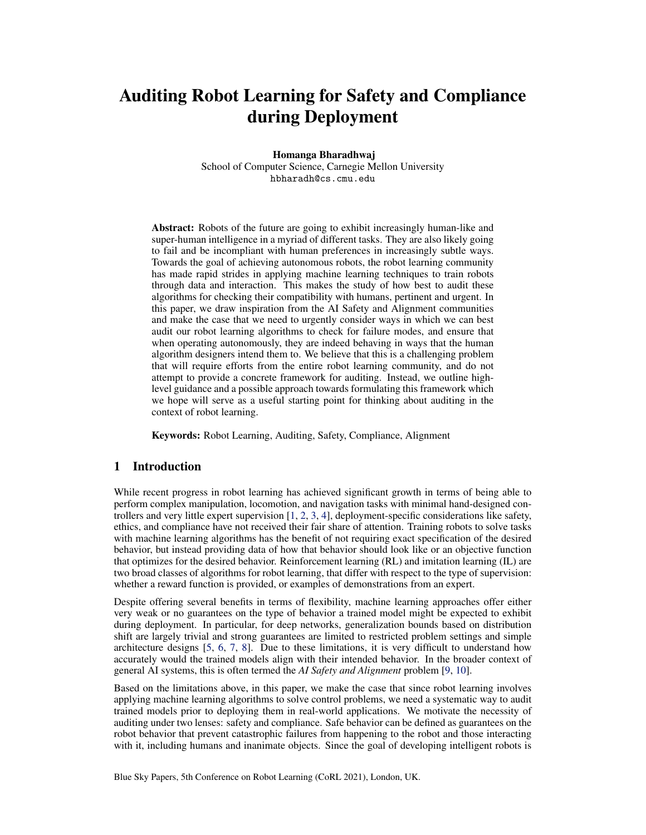# Auditing Robot Learning for Safety and Compliance during Deployment

Homanga Bharadhwaj

School of Computer Science, Carnegie Mellon University hbharadh@cs.cmu.edu

Abstract: Robots of the future are going to exhibit increasingly human-like and super-human intelligence in a myriad of different tasks. They are also likely going to fail and be incompliant with human preferences in increasingly subtle ways. Towards the goal of achieving autonomous robots, the robot learning community has made rapid strides in applying machine learning techniques to train robots through data and interaction. This makes the study of how best to audit these algorithms for checking their compatibility with humans, pertinent and urgent. In this paper, we draw inspiration from the AI Safety and Alignment communities and make the case that we need to urgently consider ways in which we can best audit our robot learning algorithms to check for failure modes, and ensure that when operating autonomously, they are indeed behaving in ways that the human algorithm designers intend them to. We believe that this is a challenging problem that will require efforts from the entire robot learning community, and do not attempt to provide a concrete framework for auditing. Instead, we outline highlevel guidance and a possible approach towards formulating this framework which we hope will serve as a useful starting point for thinking about auditing in the context of robot learning.

Keywords: Robot Learning, Auditing, Safety, Compliance, Alignment

### 1 Introduction

While recent progress in robot learning has achieved significant growth in terms of being able to perform complex manipulation, locomotion, and navigation tasks with minimal hand-designed controllers and very little expert supervision [\[1,](#page-4-0) [2,](#page-4-0) [3,](#page-4-0) [4\]](#page-4-0), deployment-specific considerations like safety, ethics, and compliance have not received their fair share of attention. Training robots to solve tasks with machine learning algorithms has the benefit of not requiring exact specification of the desired behavior, but instead providing data of how that behavior should look like or an objective function that optimizes for the desired behavior. Reinforcement learning (RL) and imitation learning (IL) are two broad classes of algorithms for robot learning, that differ with respect to the type of supervision: whether a reward function is provided, or examples of demonstrations from an expert.

Despite offering several benefits in terms of flexibility, machine learning approaches offer either very weak or no guarantees on the type of behavior a trained model might be expected to exhibit during deployment. In particular, for deep networks, generalization bounds based on distribution shift are largely trivial and strong guarantees are limited to restricted problem settings and simple architecture designs [\[5,](#page-4-0) [6,](#page-4-0) [7,](#page-4-0) [8\]](#page-4-0). Due to these limitations, it is very difficult to understand how accurately would the trained models align with their intended behavior. In the broader context of general AI systems, this is often termed the *AI Safety and Alignment* problem [\[9,](#page-4-0) [10\]](#page-4-0).

Based on the limitations above, in this paper, we make the case that since robot learning involves applying machine learning algorithms to solve control problems, we need a systematic way to audit trained models prior to deploying them in real-world applications. We motivate the necessity of auditing under two lenses: safety and compliance. Safe behavior can be defined as guarantees on the robot behavior that prevent catastrophic failures from happening to the robot and those interacting with it, including humans and inanimate objects. Since the goal of developing intelligent robots is

Blue Sky Papers, 5th Conference on Robot Learning (CoRL 2021), London, UK.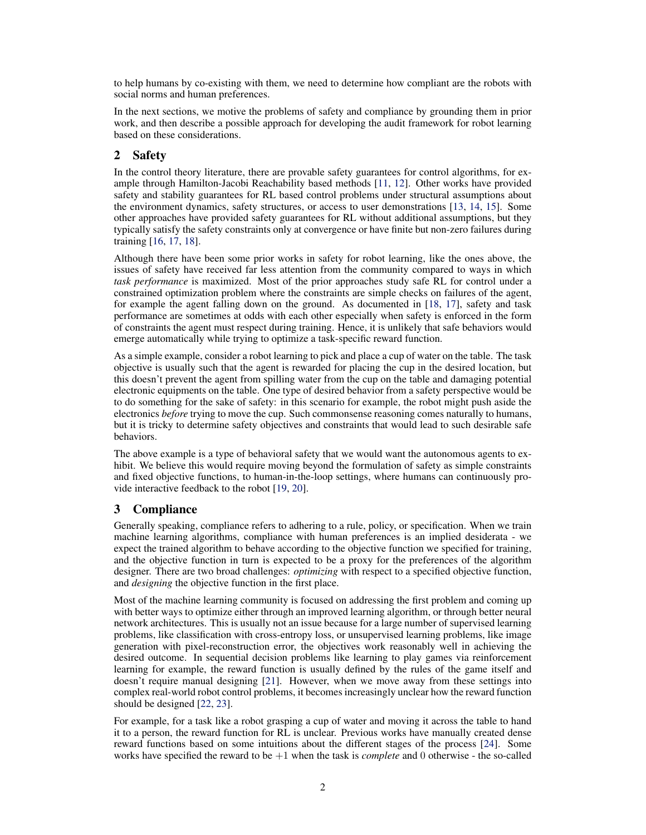to help humans by co-existing with them, we need to determine how compliant are the robots with social norms and human preferences.

In the next sections, we motive the problems of safety and compliance by grounding them in prior work, and then describe a possible approach for developing the audit framework for robot learning based on these considerations.

## 2 Safety

In the control theory literature, there are provable safety guarantees for control algorithms, for example through Hamilton-Jacobi Reachability based methods [\[11,](#page-4-0) [12\]](#page-4-0). Other works have provided safety and stability guarantees for RL based control problems under structural assumptions about the environment dynamics, safety structures, or access to user demonstrations [\[13,](#page-4-0) [14,](#page-4-0) [15\]](#page-4-0). Some other approaches have provided safety guarantees for RL without additional assumptions, but they typically satisfy the safety constraints only at convergence or have finite but non-zero failures during training [\[16,](#page-5-0) [17,](#page-5-0) [18\]](#page-5-0).

Although there have been some prior works in safety for robot learning, like the ones above, the issues of safety have received far less attention from the community compared to ways in which *task performance* is maximized. Most of the prior approaches study safe RL for control under a constrained optimization problem where the constraints are simple checks on failures of the agent, for example the agent falling down on the ground. As documented in [\[18,](#page-5-0) [17\]](#page-5-0), safety and task performance are sometimes at odds with each other especially when safety is enforced in the form of constraints the agent must respect during training. Hence, it is unlikely that safe behaviors would emerge automatically while trying to optimize a task-specific reward function.

As a simple example, consider a robot learning to pick and place a cup of water on the table. The task objective is usually such that the agent is rewarded for placing the cup in the desired location, but this doesn't prevent the agent from spilling water from the cup on the table and damaging potential electronic equipments on the table. One type of desired behavior from a safety perspective would be to do something for the sake of safety: in this scenario for example, the robot might push aside the electronics *before* trying to move the cup. Such commonsense reasoning comes naturally to humans, but it is tricky to determine safety objectives and constraints that would lead to such desirable safe behaviors.

The above example is a type of behavioral safety that we would want the autonomous agents to exhibit. We believe this would require moving beyond the formulation of safety as simple constraints and fixed objective functions, to human-in-the-loop settings, where humans can continuously provide interactive feedback to the robot [\[19,](#page-5-0) [20\]](#page-5-0).

## 3 Compliance

Generally speaking, compliance refers to adhering to a rule, policy, or specification. When we train machine learning algorithms, compliance with human preferences is an implied desiderata - we expect the trained algorithm to behave according to the objective function we specified for training, and the objective function in turn is expected to be a proxy for the preferences of the algorithm designer. There are two broad challenges: *optimizing* with respect to a specified objective function, and *designing* the objective function in the first place.

Most of the machine learning community is focused on addressing the first problem and coming up with better ways to optimize either through an improved learning algorithm, or through better neural network architectures. This is usually not an issue because for a large number of supervised learning problems, like classification with cross-entropy loss, or unsupervised learning problems, like image generation with pixel-reconstruction error, the objectives work reasonably well in achieving the desired outcome. In sequential decision problems like learning to play games via reinforcement learning for example, the reward function is usually defined by the rules of the game itself and doesn't require manual designing [\[21\]](#page-5-0). However, when we move away from these settings into complex real-world robot control problems, it becomes increasingly unclear how the reward function should be designed [\[22,](#page-5-0) [23\]](#page-5-0).

For example, for a task like a robot grasping a cup of water and moving it across the table to hand it to a person, the reward function for RL is unclear. Previous works have manually created dense reward functions based on some intuitions about the different stages of the process [\[24\]](#page-5-0). Some works have specified the reward to be +1 when the task is *complete* and 0 otherwise - the so-called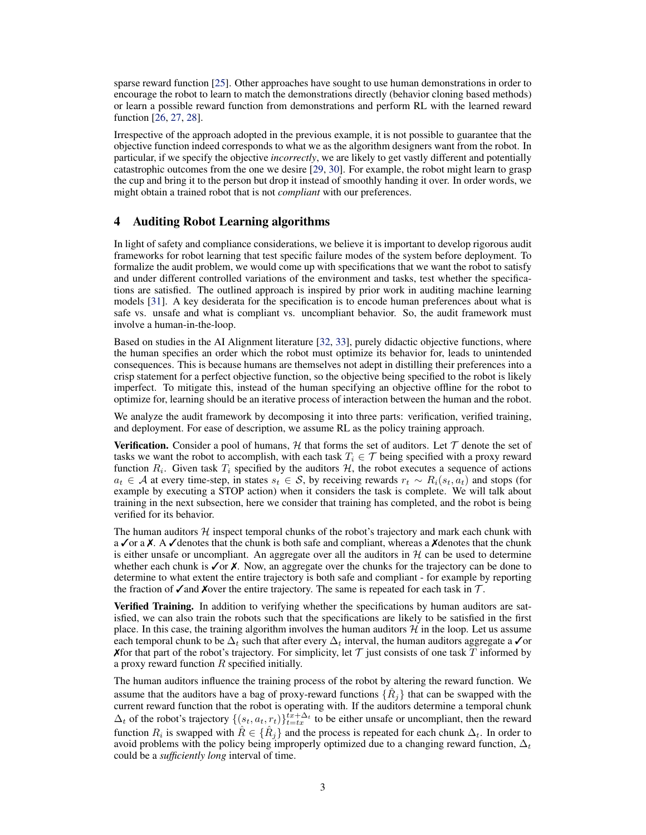sparse reward function [\[25\]](#page-5-0). Other approaches have sought to use human demonstrations in order to encourage the robot to learn to match the demonstrations directly (behavior cloning based methods) or learn a possible reward function from demonstrations and perform RL with the learned reward function [\[26,](#page-5-0) [27,](#page-5-0) [28\]](#page-5-0).

Irrespective of the approach adopted in the previous example, it is not possible to guarantee that the objective function indeed corresponds to what we as the algorithm designers want from the robot. In particular, if we specify the objective *incorrectly*, we are likely to get vastly different and potentially catastrophic outcomes from the one we desire [\[29,](#page-5-0) [30\]](#page-5-0). For example, the robot might learn to grasp the cup and bring it to the person but drop it instead of smoothly handing it over. In order words, we might obtain a trained robot that is not *compliant* with our preferences.

#### 4 Auditing Robot Learning algorithms

In light of safety and compliance considerations, we believe it is important to develop rigorous audit frameworks for robot learning that test specific failure modes of the system before deployment. To formalize the audit problem, we would come up with specifications that we want the robot to satisfy and under different controlled variations of the environment and tasks, test whether the specifications are satisfied. The outlined approach is inspired by prior work in auditing machine learning models [\[31\]](#page-5-0). A key desiderata for the specification is to encode human preferences about what is safe vs. unsafe and what is compliant vs. uncompliant behavior. So, the audit framework must involve a human-in-the-loop.

Based on studies in the AI Alignment literature [\[32,](#page-5-0) [33\]](#page-5-0), purely didactic objective functions, where the human specifies an order which the robot must optimize its behavior for, leads to unintended consequences. This is because humans are themselves not adept in distilling their preferences into a crisp statement for a perfect objective function, so the objective being specified to the robot is likely imperfect. To mitigate this, instead of the human specifying an objective offline for the robot to optimize for, learning should be an iterative process of interaction between the human and the robot.

We analyze the audit framework by decomposing it into three parts: verification, verified training, and deployment. For ease of description, we assume RL as the policy training approach.

**Verification.** Consider a pool of humans,  $H$  that forms the set of auditors. Let  $T$  denote the set of tasks we want the robot to accomplish, with each task  $T_i \in \mathcal{T}$  being specified with a proxy reward function  $R_i$ . Given task  $T_i$  specified by the auditors  $H$ , the robot executes a sequence of actions  $a_t \in A$  at every time-step, in states  $s_t \in S$ , by receiving rewards  $r_t \sim R_i(s_t, a_t)$  and stops (for example by executing a STOP action) when it considers the task is complete. We will talk about training in the next subsection, here we consider that training has completed, and the robot is being verified for its behavior.

The human auditors  $H$  inspect temporal chunks of the robot's trajectory and mark each chunk with a  $\checkmark$  or a  $\checkmark$ . A  $\checkmark$  denotes that the chunk is both safe and compliant, whereas a  $\checkmark$  denotes that the chunk is either unsafe or uncompliant. An aggregate over all the auditors in  $H$  can be used to determine whether each chunk is  $\checkmark$  or  $\checkmark$ . Now, an aggregate over the chunks for the trajectory can be done to determine to what extent the entire trajectory is both safe and compliant - for example by reporting the fraction of  $\chi$  and Xover the entire trajectory. The same is repeated for each task in  $\mathcal{T}$ .

**Verified Training.** In addition to verifying whether the specifications by human auditors are satisfied, we can also train the robots such that the specifications are likely to be satisfied in the first place. In this case, the training algorithm involves the human auditors  $H$  in the loop. Let us assume each temporal chunk to be  $\Delta_t$  such that after every  $\Delta_t$  interval, the human auditors aggregate a ∕or X for that part of the robot's trajectory. For simplicity, let  $\mathcal T$  just consists of one task  $T$  informed by a proxy reward function  $R$  specified initially.

The human auditors influence the training process of the robot by altering the reward function. We assume that the auditors have a bag of proxy-reward functions  $\{\hat{R}_j\}$  that can be swapped with the current reward function that the robot is operating with. If the auditors determine a temporal chunk  $\Delta_t$  of the robot's trajectory  $\{(s_t, a_t, r_t)\}_{t=t}^{t x + \Delta_t}$  to be either unsafe or uncompliant, then the reward function  $R_i$  is swapped with  $\hat{R} \in \{ \hat{R}_j \}$  and the process is repeated for each chunk  $\Delta_t$ . In order to avoid problems with the policy being improperly optimized due to a changing reward function,  $\Delta_t$ could be a *sufficiently long* interval of time.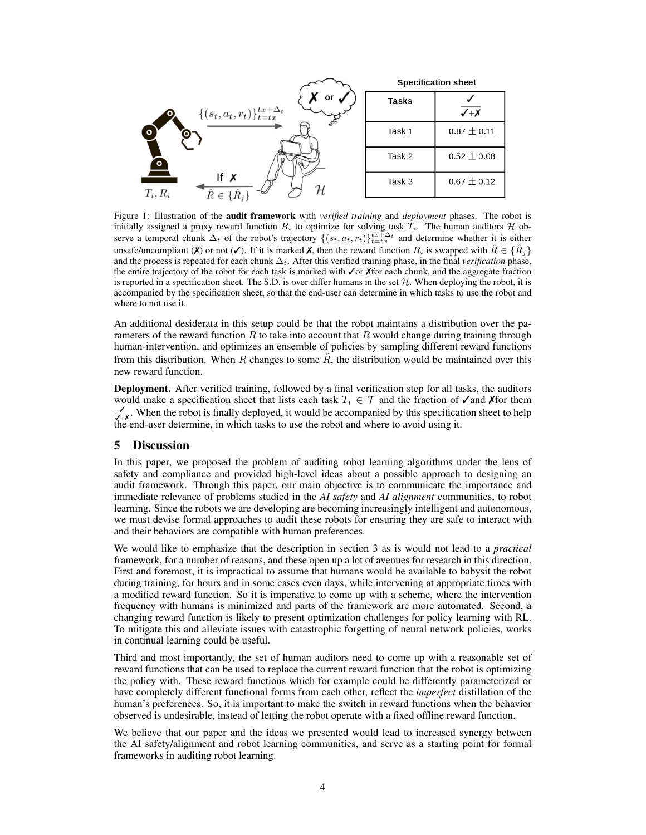

Figure 1: Illustration of the audit framework with *verified training* and *deployment* phases. The robot is initially assigned a proxy reward function  $R_i$  to optimize for solving task  $T_i$ . The human auditors  $H$  observe a temporal chunk  $\Delta_t$  of the robot's trajectory  $\{(s_t, a_t, r_t)\}_{t=t}^{tx+\Delta_t}$  and determine whether it is either unsafe/uncompliant ( $\chi$ ) or not ( $\chi$ ). If it is marked  $\chi$ , then the reward function  $R_i$  is swapped with  $\hat{R} \in \{\hat{R}_i\}$ and the process is repeated for each chunk ∆t. After this verified training phase, in the final *verification* phase, the entire trajectory of the robot for each task is marked with ✓or ✗for each chunk, and the aggregate fraction is reported in a specification sheet. The S.D. is over differ humans in the set  $H$ . When deploying the robot, it is accompanied by the specification sheet, so that the end-user can determine in which tasks to use the robot and where to not use it.

An additional desiderata in this setup could be that the robot maintains a distribution over the parameters of the reward function  $R$  to take into account that  $R$  would change during training through human-intervention, and optimizes an ensemble of policies by sampling different reward functions from this distribution. When R changes to some  $\hat{R}$ , the distribution would be maintained over this new reward function.

Deployment. After verified training, followed by a final verification step for all tasks, the auditors would make a specification sheet that lists each task  $T_i \in \mathcal{T}$  and the fraction of  $\checkmark$  and  $\checkmark$  and  $\checkmark$  for them  $\checkmark$   $\checkmark$ <sub>7</sub>  $\checkmark$ . When the robot is finally deployed, it would be accompanied by this specificat the end-user determine, in which tasks to use the robot and where to avoid using it.

#### 5 Discussion

In this paper, we proposed the problem of auditing robot learning algorithms under the lens of safety and compliance and provided high-level ideas about a possible approach to designing an audit framework. Through this paper, our main objective is to communicate the importance and immediate relevance of problems studied in the *AI safety* and *AI alignment* communities, to robot learning. Since the robots we are developing are becoming increasingly intelligent and autonomous, we must devise formal approaches to audit these robots for ensuring they are safe to interact with and their behaviors are compatible with human preferences.

We would like to emphasize that the description in section 3 as is would not lead to a *practical* framework, for a number of reasons, and these open up a lot of avenues for research in this direction. First and foremost, it is impractical to assume that humans would be available to babysit the robot during training, for hours and in some cases even days, while intervening at appropriate times with a modified reward function. So it is imperative to come up with a scheme, where the intervention frequency with humans is minimized and parts of the framework are more automated. Second, a changing reward function is likely to present optimization challenges for policy learning with RL. To mitigate this and alleviate issues with catastrophic forgetting of neural network policies, works in continual learning could be useful.

Third and most importantly, the set of human auditors need to come up with a reasonable set of reward functions that can be used to replace the current reward function that the robot is optimizing the policy with. These reward functions which for example could be differently parameterized or have completely different functional forms from each other, reflect the *imperfect* distillation of the human's preferences. So, it is important to make the switch in reward functions when the behavior observed is undesirable, instead of letting the robot operate with a fixed offline reward function.

We believe that our paper and the ideas we presented would lead to increased synergy between the AI safety/alignment and robot learning communities, and serve as a starting point for formal frameworks in auditing robot learning.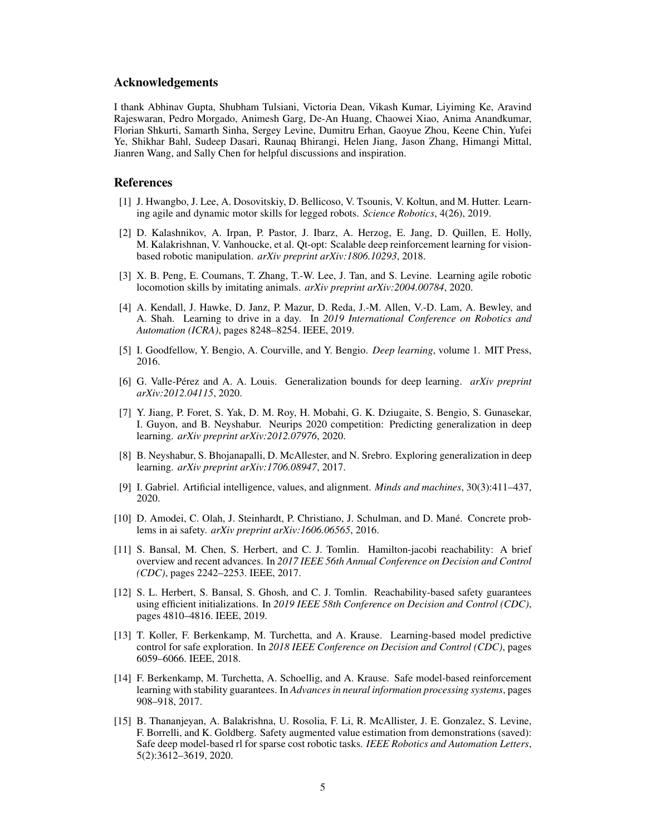#### <span id="page-4-0"></span>Acknowledgements

I thank Abhinav Gupta, Shubham Tulsiani, Victoria Dean, Vikash Kumar, Liyiming Ke, Aravind Rajeswaran, Pedro Morgado, Animesh Garg, De-An Huang, Chaowei Xiao, Anima Anandkumar, Florian Shkurti, Samarth Sinha, Sergey Levine, Dumitru Erhan, Gaoyue Zhou, Keene Chin, Yufei Ye, Shikhar Bahl, Sudeep Dasari, Raunaq Bhirangi, Helen Jiang, Jason Zhang, Himangi Mittal, Jianren Wang, and Sally Chen for helpful discussions and inspiration.

#### References

- [1] J. Hwangbo, J. Lee, A. Dosovitskiy, D. Bellicoso, V. Tsounis, V. Koltun, and M. Hutter. Learning agile and dynamic motor skills for legged robots. *Science Robotics*, 4(26), 2019.
- [2] D. Kalashnikov, A. Irpan, P. Pastor, J. Ibarz, A. Herzog, E. Jang, D. Quillen, E. Holly, M. Kalakrishnan, V. Vanhoucke, et al. Qt-opt: Scalable deep reinforcement learning for visionbased robotic manipulation. *arXiv preprint arXiv:1806.10293*, 2018.
- [3] X. B. Peng, E. Coumans, T. Zhang, T.-W. Lee, J. Tan, and S. Levine. Learning agile robotic locomotion skills by imitating animals. *arXiv preprint arXiv:2004.00784*, 2020.
- [4] A. Kendall, J. Hawke, D. Janz, P. Mazur, D. Reda, J.-M. Allen, V.-D. Lam, A. Bewley, and A. Shah. Learning to drive in a day. In *2019 International Conference on Robotics and Automation (ICRA)*, pages 8248–8254. IEEE, 2019.
- [5] I. Goodfellow, Y. Bengio, A. Courville, and Y. Bengio. *Deep learning*, volume 1. MIT Press, 2016.
- [6] G. Valle-Perez and A. A. Louis. Generalization bounds for deep learning. ´ *arXiv preprint arXiv:2012.04115*, 2020.
- [7] Y. Jiang, P. Foret, S. Yak, D. M. Roy, H. Mobahi, G. K. Dziugaite, S. Bengio, S. Gunasekar, I. Guyon, and B. Neyshabur. Neurips 2020 competition: Predicting generalization in deep learning. *arXiv preprint arXiv:2012.07976*, 2020.
- [8] B. Neyshabur, S. Bhojanapalli, D. McAllester, and N. Srebro. Exploring generalization in deep learning. *arXiv preprint arXiv:1706.08947*, 2017.
- [9] I. Gabriel. Artificial intelligence, values, and alignment. *Minds and machines*, 30(3):411–437, 2020.
- [10] D. Amodei, C. Olah, J. Steinhardt, P. Christiano, J. Schulman, and D. Mané. Concrete problems in ai safety. *arXiv preprint arXiv:1606.06565*, 2016.
- [11] S. Bansal, M. Chen, S. Herbert, and C. J. Tomlin. Hamilton-jacobi reachability: A brief overview and recent advances. In *2017 IEEE 56th Annual Conference on Decision and Control (CDC)*, pages 2242–2253. IEEE, 2017.
- [12] S. L. Herbert, S. Bansal, S. Ghosh, and C. J. Tomlin. Reachability-based safety guarantees using efficient initializations. In *2019 IEEE 58th Conference on Decision and Control (CDC)*, pages 4810–4816. IEEE, 2019.
- [13] T. Koller, F. Berkenkamp, M. Turchetta, and A. Krause. Learning-based model predictive control for safe exploration. In *2018 IEEE Conference on Decision and Control (CDC)*, pages 6059–6066. IEEE, 2018.
- [14] F. Berkenkamp, M. Turchetta, A. Schoellig, and A. Krause. Safe model-based reinforcement learning with stability guarantees. In *Advances in neural information processing systems*, pages 908–918, 2017.
- [15] B. Thananjeyan, A. Balakrishna, U. Rosolia, F. Li, R. McAllister, J. E. Gonzalez, S. Levine, F. Borrelli, and K. Goldberg. Safety augmented value estimation from demonstrations (saved): Safe deep model-based rl for sparse cost robotic tasks. *IEEE Robotics and Automation Letters*, 5(2):3612–3619, 2020.